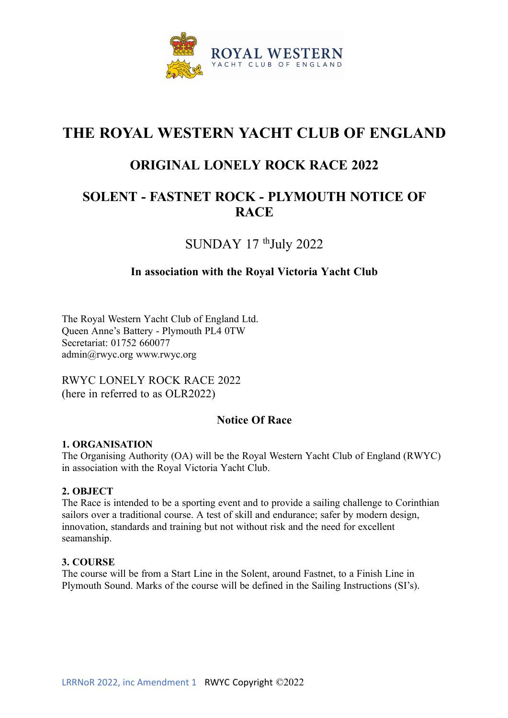

# **THE ROYAL WESTERN YACHT CLUB OF ENGLAND**

## **ORIGINAL LONELY ROCK RACE 2022**

## **SOLENT - FASTNET ROCK - PLYMOUTH NOTICE OF RACE**

SUNDAY 17 <sup>th</sup>July 2022

#### **In association with the Royal Victoria Yacht Club**

The Royal Western Yacht Club of England Ltd. Queen Anne's Battery - Plymouth PL4 0TW Secretariat: 01752 660077 admin@rwyc.org www.rwyc.org

RWYC LONELY ROCK RACE 2022 (here in referred to as OLR2022)

#### **Notice Of Race**

#### **1. ORGANISATION**

The Organising Authority (OA) will be the Royal Western Yacht Club of England (RWYC) in association with the Royal Victoria Yacht Club.

#### **2. OBJECT**

The Race is intended to be a sporting event and to provide a sailing challenge to Corinthian sailors over a traditional course. A test of skill and endurance; safer by modern design, innovation, standards and training but not without risk and the need for excellent seamanship.

#### **3. COURSE**

The course will be from a Start Line in the Solent, around Fastnet, to a Finish Line in Plymouth Sound. Marks of the course will be defined in the Sailing Instructions (SI's).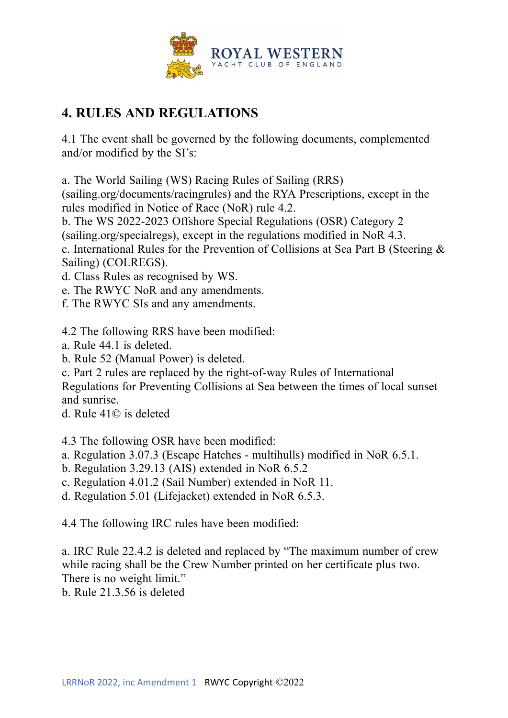

# **4. RULES AND REGULATIONS**

4.1 The event shall be governed by the following documents, complemented and/or modified by the SI's:

a. The World Sailing (WS) Racing Rules of Sailing (RRS)

(sailing.org/documents/racingrules) and the RYA Prescriptions, except in the rules modified in Notice of Race (NoR) rule 4.2.

b. The WS 2022-2023 Offshore Special Regulations (OSR) Category 2

(sailing.org/specialregs), except in the regulations modified in NoR 4.3.

c. International Rules for the Prevention of Collisions at Sea Part B (Steering & Sailing) (COLREGS).

- d. Class Rules as recognised by WS.
- e. The RWYC NoR and any amendments.
- f. The RWYC SIs and any amendments.

4.2 The following RRS have been modified:

- a. Rule 44.1 is deleted.
- b. Rule 52 (Manual Power) is deleted.
- c. Part 2 rules are replaced by the right-of-way Rules of International

Regulations for Preventing Collisions at Sea between the times of local sunset and sunrise.

d. Rule 41© is deleted

4.3 The following OSR have been modified:

- a. Regulation 3.07.3 (Escape Hatches multihulls) modified in NoR 6.5.1.
- b. Regulation 3.29.13 (AIS) extended in NoR 6.5.2
- c. Regulation 4.01.2 (Sail Number) extended in NoR 11.
- d. Regulation 5.01 (Lifejacket) extended in NoR 6.5.3.

4.4 The following IRC rules have been modified:

a. IRC Rule 22.4.2 is deleted and replaced by "The maximum number of crew while racing shall be the Crew Number printed on her certificate plus two. There is no weight limit."

b. Rule 21.3.56 is deleted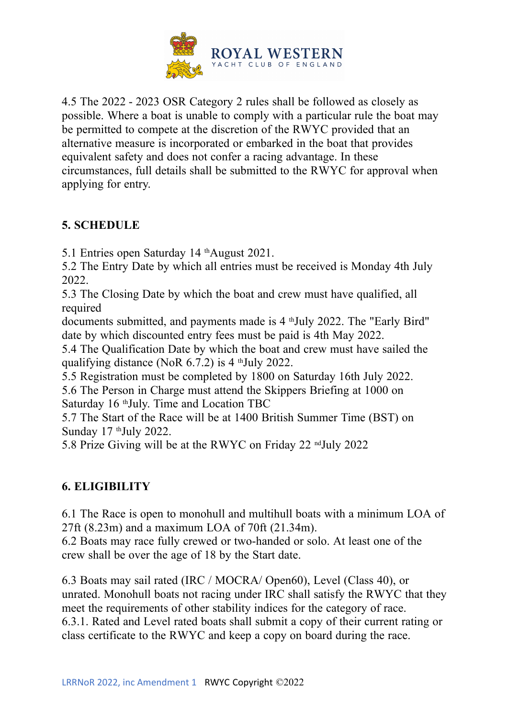

4.5 The 2022 - 2023 OSR Category 2 rules shall be followed as closely as possible. Where a boat is unable to comply with a particular rule the boat may be permitted to compete at the discretion of the RWYC provided that an alternative measure is incorporated or embarked in the boat that provides equivalent safety and does not confer a racing advantage. In these circumstances, full details shall be submitted to the RWYC for approval when applying for entry.

## **5. SCHEDULE**

5.1 Entries open Saturday 14 <sup>th</sup>August 2021.

5.2 The Entry Date by which all entries must be received is Monday 4th July 2022.

5.3 The Closing Date by which the boat and crew must have qualified, all required

documents submitted, and payments made is 4 <sup>th</sup>July 2022. The "Early Bird" date by which discounted entry fees must be paid is 4th May 2022.

5.4 The Qualification Date by which the boat and crew must have sailed the qualifying distance (NoR 6.7.2) is 4 thJuly 2022.

5.5 Registration must be completed by 1800 on Saturday 16th July 2022. 5.6 The Person in Charge must attend the Skippers Briefing at 1000 on Saturday 16 thJuly. Time and Location TBC

5.7 The Start of the Race will be at 1400 British Summer Time (BST) on Sunday 17 <sup>th</sup>July 2022.

5.8 Prize Giving will be at the RWYC on Friday 22 <sup>nd</sup>July 2022

## **6. ELIGIBILITY**

6.1 The Race is open to monohull and multihull boats with a minimum LOA of 27ft (8.23m) and a maximum LOA of 70ft (21.34m).

6.2 Boats may race fully crewed or two-handed or solo. At least one of the crew shall be over the age of 18 by the Start date.

6.3 Boats may sail rated (IRC / MOCRA/ Open60), Level (Class 40), or unrated. Monohull boats not racing under IRC shall satisfy the RWYC that they meet the requirements of other stability indices for the category of race. 6.3.1. Rated and Level rated boats shall submit a copy of their current rating or class certificate to the RWYC and keep a copy on board during the race.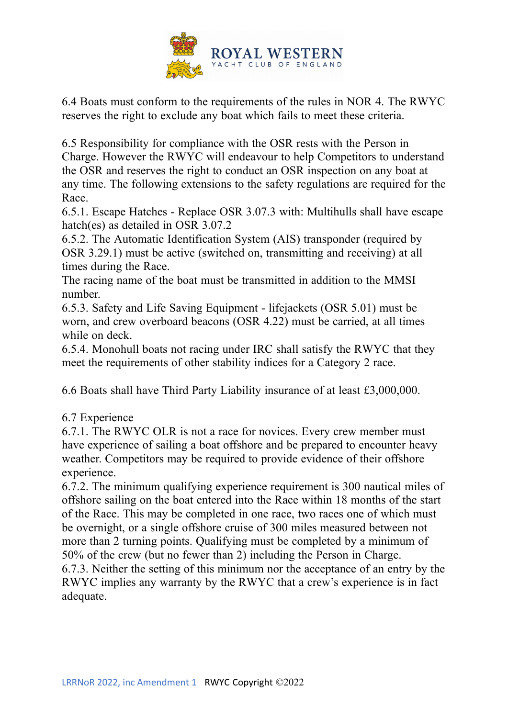

6.4 Boats must conform to the requirements of the rules in NOR 4. The RWYC reserves the right to exclude any boat which fails to meet these criteria.

6.5 Responsibility for compliance with the OSR rests with the Person in Charge. However the RWYC will endeavour to help Competitors to understand the OSR and reserves the right to conduct an OSR inspection on any boat at any time. The following extensions to the safety regulations are required for the Race.

6.5.1. Escape Hatches - Replace OSR 3.07.3 with: Multihulls shall have escape hatch(es) as detailed in OSR 3.07.2

6.5.2. The Automatic Identification System (AIS) transponder (required by OSR 3.29.1) must be active (switched on, transmitting and receiving) at all times during the Race.

The racing name of the boat must be transmitted in addition to the MMSI number.

6.5.3. Safety and Life Saving Equipment - lifejackets (OSR 5.01) must be worn, and crew overboard beacons (OSR 4.22) must be carried, at all times while on deck.

6.5.4. Monohull boats not racing under IRC shall satisfy the RWYC that they meet the requirements of other stability indices for a Category 2 race.

6.6 Boats shall have Third Party Liability insurance of at least £3,000,000.

#### 6.7 Experience

6.7.1. The RWYC OLR is not a race for novices. Every crew member must have experience of sailing a boat offshore and be prepared to encounter heavy weather. Competitors may be required to provide evidence of their offshore experience.

6.7.2. The minimum qualifying experience requirement is 300 nautical miles of offshore sailing on the boat entered into the Race within 18 months of the start of the Race. This may be completed in one race, two races one of which must be overnight, or a single offshore cruise of 300 miles measured between not more than 2 turning points. Qualifying must be completed by a minimum of 50% of the crew (but no fewer than 2) including the Person in Charge. 6.7.3. Neither the setting of this minimum nor the acceptance of an entry by the RWYC implies any warranty by the RWYC that a crew's experience is in fact adequate.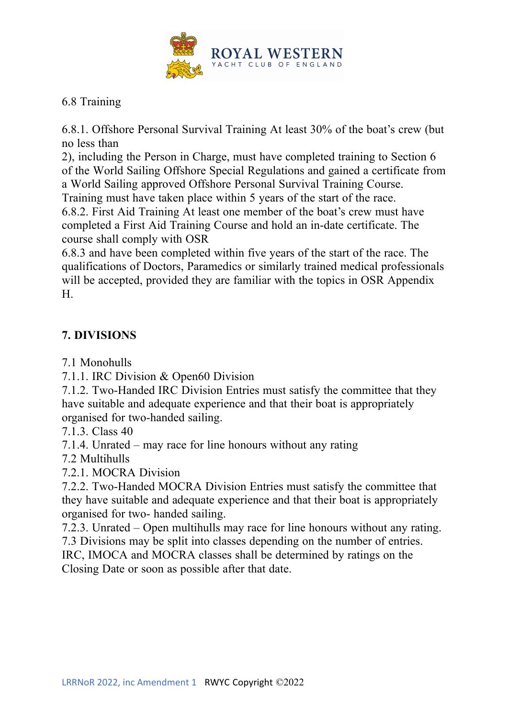

#### 6.8 Training

6.8.1. Offshore Personal Survival Training At least 30% of the boat's crew (but no less than

2), including the Person in Charge, must have completed training to Section 6 of the World Sailing Offshore Special Regulations and gained a certificate from a World Sailing approved Offshore Personal Survival Training Course.

Training must have taken place within 5 years of the start of the race.

6.8.2. First Aid Training At least one member of the boat's crew must have completed a First Aid Training Course and hold an in-date certificate. The course shall comply with OSR

6.8.3 and have been completed within five years of the start of the race. The qualifications of Doctors, Paramedics or similarly trained medical professionals will be accepted, provided they are familiar with the topics in OSR Appendix H.

## **7. DIVISIONS**

7.1 Monohulls

7.1.1. IRC Division & Open60 Division

7.1.2. Two-Handed IRC Division Entries must satisfy the committee that they have suitable and adequate experience and that their boat is appropriately organised for two-handed sailing.

7.1.3. Class 40

7.1.4. Unrated – may race for line honours without any rating

7.2 Multihulls

7.2.1. MOCRA Division

7.2.2. Two-Handed MOCRA Division Entries must satisfy the committee that they have suitable and adequate experience and that their boat is appropriately organised for two- handed sailing.

7.2.3. Unrated – Open multihulls may race for line honours without any rating. 7.3 Divisions may be split into classes depending on the number of entries.

IRC, IMOCA and MOCRA classes shall be determined by ratings on the Closing Date or soon as possible after that date.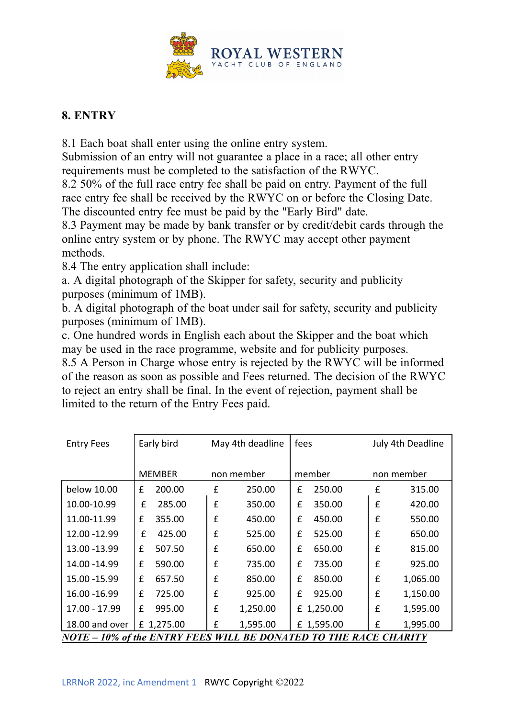

### **8. ENTRY**

8.1 Each boat shall enter using the online entry system.

Submission of an entry will not guarantee a place in a race; all other entry requirements must be completed to the satisfaction of the RWYC.

8.2 50% of the full race entry fee shall be paid on entry. Payment of the full race entry fee shall be received by the RWYC on or before the Closing Date. The discounted entry fee must be paid by the "Early Bird" date.

8.3 Payment may be made by bank transfer or by credit/debit cards through the online entry system or by phone. The RWYC may accept other payment methods.

8.4 The entry application shall include:

a. A digital photograph of the Skipper for safety, security and publicity purposes (minimum of 1MB).

b. A digital photograph of the boat under sail for safety, security and publicity purposes (minimum of 1MB).

c. One hundred words in English each about the Skipper and the boat which may be used in the race programme, website and for publicity purposes. 8.5 A Person in Charge whose entry is rejected by the RWYC will be informed of the reason as soon as possible and Fees returned. The decision of the RWYC to reject an entry shall be final. In the event of rejection, payment shall be

limited to the return of the Entry Fees paid.

| <b>Entry Fees</b>                                                       | Early bird    |   | May 4th deadline |   | fees       |   | July 4th Deadline |  |
|-------------------------------------------------------------------------|---------------|---|------------------|---|------------|---|-------------------|--|
|                                                                         | <b>MEMBER</b> |   | non member       |   | member     |   | non member        |  |
| below 10.00                                                             | 200.00<br>£   | £ | 250.00           | £ | 250.00     | £ | 315.00            |  |
| 10.00-10.99                                                             | £<br>285.00   | £ | 350.00           | £ | 350.00     | £ | 420.00            |  |
| 11.00-11.99                                                             | £<br>355.00   | £ | 450.00           | £ | 450.00     | £ | 550.00            |  |
| 12.00 - 12.99                                                           | £<br>425.00   | £ | 525.00           | £ | 525.00     | £ | 650.00            |  |
| 13.00 - 13.99                                                           | £<br>507.50   | £ | 650.00           | £ | 650.00     | £ | 815.00            |  |
| 14.00 - 14.99                                                           | £<br>590.00   | £ | 735.00           | £ | 735.00     | £ | 925.00            |  |
| 15.00 - 15.99                                                           | £<br>657.50   | £ | 850.00           | £ | 850.00     | £ | 1,065.00          |  |
| 16.00 - 16.99                                                           | £<br>725.00   | £ | 925.00           | £ | 925.00     | £ | 1,150.00          |  |
| 17.00 - 17.99                                                           | £<br>995.00   | £ | 1,250.00         |   | £ 1,250.00 | £ | 1,595.00          |  |
| 18.00 and over                                                          | £ 1,275.00    | £ | 1,595.00         |   | £ 1,595.00 | £ | 1,995.00          |  |
| <b>NOTE - 10% of the ENTRY FEES WILL BE DONATED TO THE RACE CHARITY</b> |               |   |                  |   |            |   |                   |  |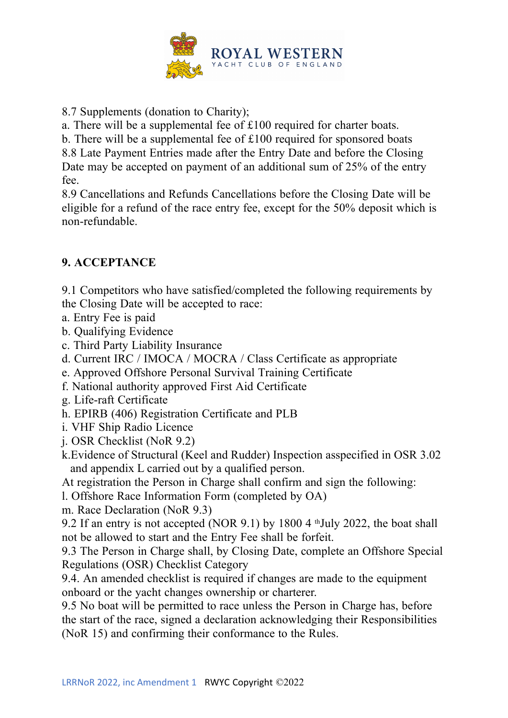

8.7 Supplements (donation to Charity);

a. There will be a supplemental fee of £100 required for charter boats.

b. There will be a supplemental fee of £100 required for sponsored boats

8.8 Late Payment Entries made after the Entry Date and before the Closing Date may be accepted on payment of an additional sum of 25% of the entry fee.

8.9 Cancellations and Refunds Cancellations before the Closing Date will be eligible for a refund of the race entry fee, except for the 50% deposit which is non-refundable.

### **9. ACCEPTANCE**

9.1 Competitors who have satisfied/completed the following requirements by the Closing Date will be accepted to race:

- a. Entry Fee is paid
- b. Qualifying Evidence
- c. Third Party Liability Insurance
- d. Current IRC / IMOCA / MOCRA / Class Certificate as appropriate
- e. Approved Offshore Personal Survival Training Certificate
- f. National authority approved First Aid Certificate
- g. Life-raft Certificate
- h. EPIRB (406) Registration Certificate and PLB
- i. VHF Ship Radio Licence
- j. OSR Checklist (NoR 9.2)
- k.Evidence of Structural (Keel and Rudder) Inspection asspecified in OSR 3.02 and appendix L carried out by a qualified person.

At registration the Person in Charge shall confirm and sign the following:

- l. Offshore Race Information Form (completed by OA)
- m. Race Declaration (NoR 9.3)

9.2 If an entry is not accepted (NOR 9.1) by 1800 4 thJuly 2022, the boat shall not be allowed to start and the Entry Fee shall be forfeit.

9.3 The Person in Charge shall, by Closing Date, complete an Offshore Special Regulations (OSR) Checklist Category

9.4. An amended checklist is required if changes are made to the equipment onboard or the yacht changes ownership or charterer.

9.5 No boat will be permitted to race unless the Person in Charge has, before the start of the race, signed a declaration acknowledging their Responsibilities (NoR 15) and confirming their conformance to the Rules.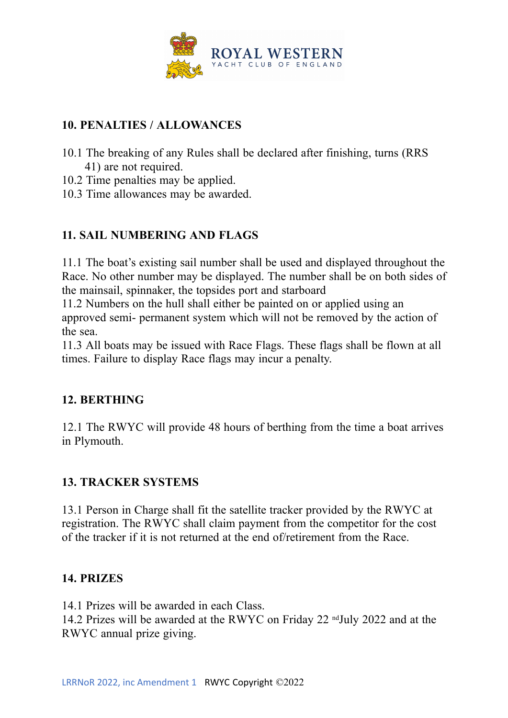

### **10. PENALTIES / ALLOWANCES**

- 10.1 The breaking of any Rules shall be declared after finishing, turns (RRS 41) are not required.
- 10.2 Time penalties may be applied.
- 10.3 Time allowances may be awarded.

## **11. SAIL NUMBERING AND FLAGS**

11.1 The boat's existing sail number shall be used and displayed throughout the Race. No other number may be displayed. The number shall be on both sides of the mainsail, spinnaker, the topsides port and starboard

11.2 Numbers on the hull shall either be painted on or applied using an approved semi- permanent system which will not be removed by the action of the sea.

11.3 All boats may be issued with Race Flags. These flags shall be flown at all times. Failure to display Race flags may incur a penalty.

#### **12. BERTHING**

12.1 The RWYC will provide 48 hours of berthing from the time a boat arrives in Plymouth.

## **13. TRACKER SYSTEMS**

13.1 Person in Charge shall fit the satellite tracker provided by the RWYC at registration. The RWYC shall claim payment from the competitor for the cost of the tracker if it is not returned at the end of/retirement from the Race.

#### **14. PRIZES**

14.1 Prizes will be awarded in each Class. 14.2 Prizes will be awarded at the RWYC on Friday 22 ndJuly 2022 and at the RWYC annual prize giving.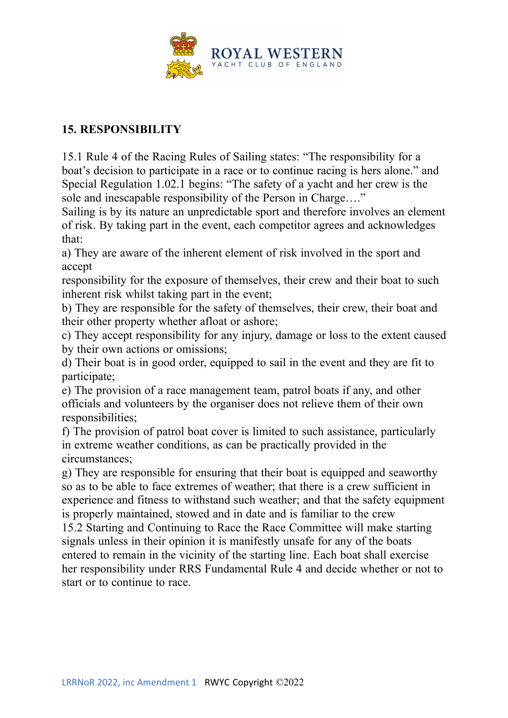

#### **15. RESPONSIBILITY**

15.1 Rule 4 of the Racing Rules of Sailing states: "The responsibility for a boat's decision to participate in a race or to continue racing is hers alone." and Special Regulation 1.02.1 begins: "The safety of a yacht and her crew is the sole and inescapable responsibility of the Person in Charge…."

Sailing is by its nature an unpredictable sport and therefore involves an element of risk. By taking part in the event, each competitor agrees and acknowledges that:

a) They are aware of the inherent element of risk involved in the sport and accept

responsibility for the exposure of themselves, their crew and their boat to such inherent risk whilst taking part in the event;

b) They are responsible for the safety of themselves, their crew, their boat and their other property whether afloat or ashore;

c) They accept responsibility for any injury, damage or loss to the extent caused by their own actions or omissions;

d) Their boat is in good order, equipped to sail in the event and they are fit to participate;

e) The provision of a race management team, patrol boats if any, and other officials and volunteers by the organiser does not relieve them of their own responsibilities;

f) The provision of patrol boat cover is limited to such assistance, particularly in extreme weather conditions, as can be practically provided in the circumstances;

g) They are responsible for ensuring that their boat is equipped and seaworthy so as to be able to face extremes of weather; that there is a crew sufficient in experience and fitness to withstand such weather; and that the safety equipment is properly maintained, stowed and in date and is familiar to the crew

15.2 Starting and Continuing to Race the Race Committee will make starting signals unless in their opinion it is manifestly unsafe for any of the boats entered to remain in the vicinity of the starting line. Each boat shall exercise her responsibility under RRS Fundamental Rule 4 and decide whether or not to start or to continue to race.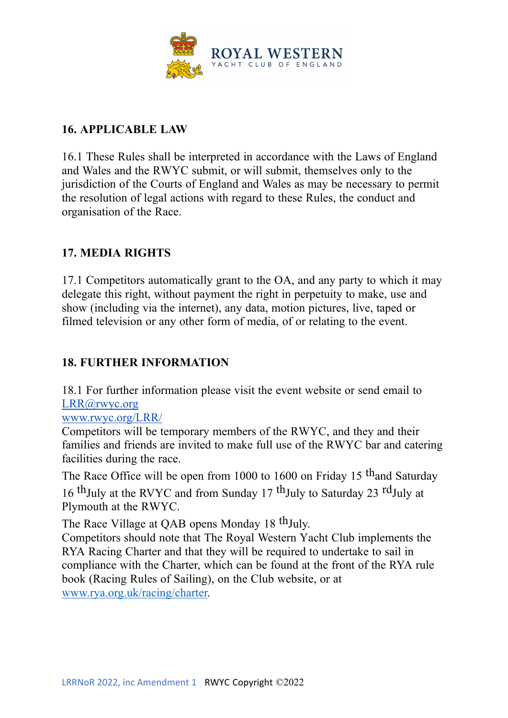

#### **16. APPLICABLE LAW**

16.1 These Rules shall be interpreted in accordance with the Laws of England and Wales and the RWYC submit, or will submit, themselves only to the jurisdiction of the Courts of England and Wales as may be necessary to permit the resolution of legal actions with regard to these Rules, the conduct and organisation of the Race.

#### **17. MEDIA RIGHTS**

17.1 Competitors automatically grant to the OA, and any party to which it may delegate this right, without payment the right in perpetuity to make, use and show (including via the internet), any data, motion pictures, live, taped or filmed television or any other form of media, of or relating to the event.

### **18. FURTHER INFORMATION**

18.1 For further information please visit the event website or send email to LRR@rwyc.org

www.rwyc.org/LRR/

Competitors will be temporary members of the RWYC, and they and their families and friends are invited to make full use of the RWYC bar and catering facilities during the race.

The Race Office will be open from 1000 to 1600 on Friday 15  $th$  and Saturday

16 thJuly at the RVYC and from Sunday 17 thJuly to Saturday 23 rdJuly at Plymouth at the RWYC.

The Race Village at QAB opens Monday 18 <sup>th</sup>July.

Competitors should note that The Royal Western Yacht Club implements the RYA Racing Charter and that they will be required to undertake to sail in compliance with the Charter, which can be found at the front of the RYA rule book (Racing Rules of Sailing), on the Club website, or at www.rya.org.uk/racing/charter.